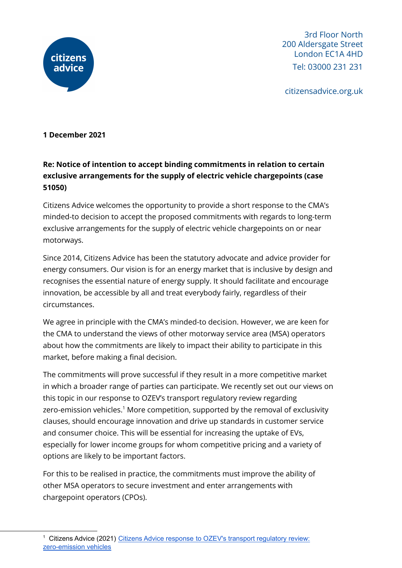

3rd Floor North 200 Aldersgate Street London EC1A 4HD Tel: 03000 231 231

citizensadvice.org.uk

## **1 December 2021**

## **Re: Notice of intention to accept binding commitments in relation to certain exclusive arrangements for the supply of electric vehicle chargepoints (case 51050)**

Citizens Advice welcomes the opportunity to provide a short response to the CMA's minded-to decision to accept the proposed commitments with regards to long-term exclusive arrangements for the supply of electric vehicle chargepoints on or near motorways.

Since 2014, Citizens Advice has been the statutory advocate and advice provider for energy consumers. Our vision is for an energy market that is inclusive by design and recognises the essential nature of energy supply. It should facilitate and encourage innovation, be accessible by all and treat everybody fairly, regardless of their circumstances.

We agree in principle with the CMA's minded-to decision. However, we are keen for the CMA to understand the views of other motorway service area (MSA) operators about how the commitments are likely to impact their ability to participate in this market, before making a final decision.

The commitments will prove successful if they result in a more competitive market in which a broader range of parties can participate. We recently set out our views on this topic in our response to OZEV's transport regulatory review regarding zero-emission vehicles. $^{\rm 1}$  More competition, supported by the removal of exclusivity clauses, should encourage innovation and drive up standards in customer service and consumer choice. This will be essential for increasing the uptake of EVs, especially for lower income groups for whom competitive pricing and a variety of options are likely to be important factors.

For this to be realised in practice, the commitments must improve the ability of other MSA operators to secure investment and enter arrangements with chargepoint operators (CPOs).

<sup>&</sup>lt;sup>1</sup> Citizens Advice (2021) Citizens Advice response to OZEV's transport [regulatory](https://www.citizensadvice.org.uk/about-us/our-work/policy/policy-research-topics/energy-policy-research-and-consultation-responses/energy-consultation-responses/citizens-advice-response-to-ozevs-transport-regulatory-review-zero-emission-vehicles/) review: [zero-emission](https://www.citizensadvice.org.uk/about-us/our-work/policy/policy-research-topics/energy-policy-research-and-consultation-responses/energy-consultation-responses/citizens-advice-response-to-ozevs-transport-regulatory-review-zero-emission-vehicles/) vehicles